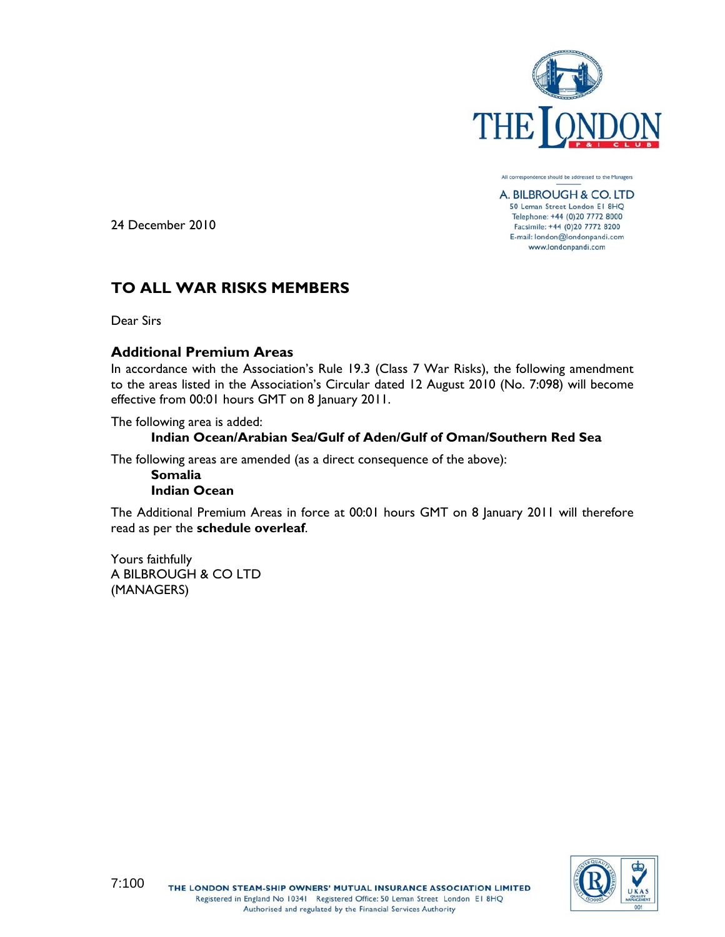

All correspondence should be addressed to the Managers A. BILBROUGH & CO. LTD

50 Leman Street London E1 8HQ Telephone: +44 (0)20 7772 8000 Facsimile: +44 (0)20 7772 8200 E-mail: london@londonpandi.com www.londonpandi.com

24 December 2010

# **TO ALL WAR RISKS MEMBERS**

Dear Sirs

# **Additional Premium Areas**

In accordance with the Association's Rule 19.3 (Class 7 War Risks), the following amendment to the areas listed in the Association's Circular dated 12 August 2010 (No. 7:098) will become effective from 00:01 hours GMT on 8 January 2011.

The following area is added:

# **Indian Ocean/Arabian Sea/Gulf of Aden/Gulf of Oman/Southern Red Sea**

The following areas are amended (as a direct consequence of the above):

**Somalia Indian Ocean**

The Additional Premium Areas in force at 00:01 hours GMT on 8 January 2011 will therefore read as per the **schedule overleaf**.

Yours faithfully A BILBROUGH & CO LTD (MANAGERS)